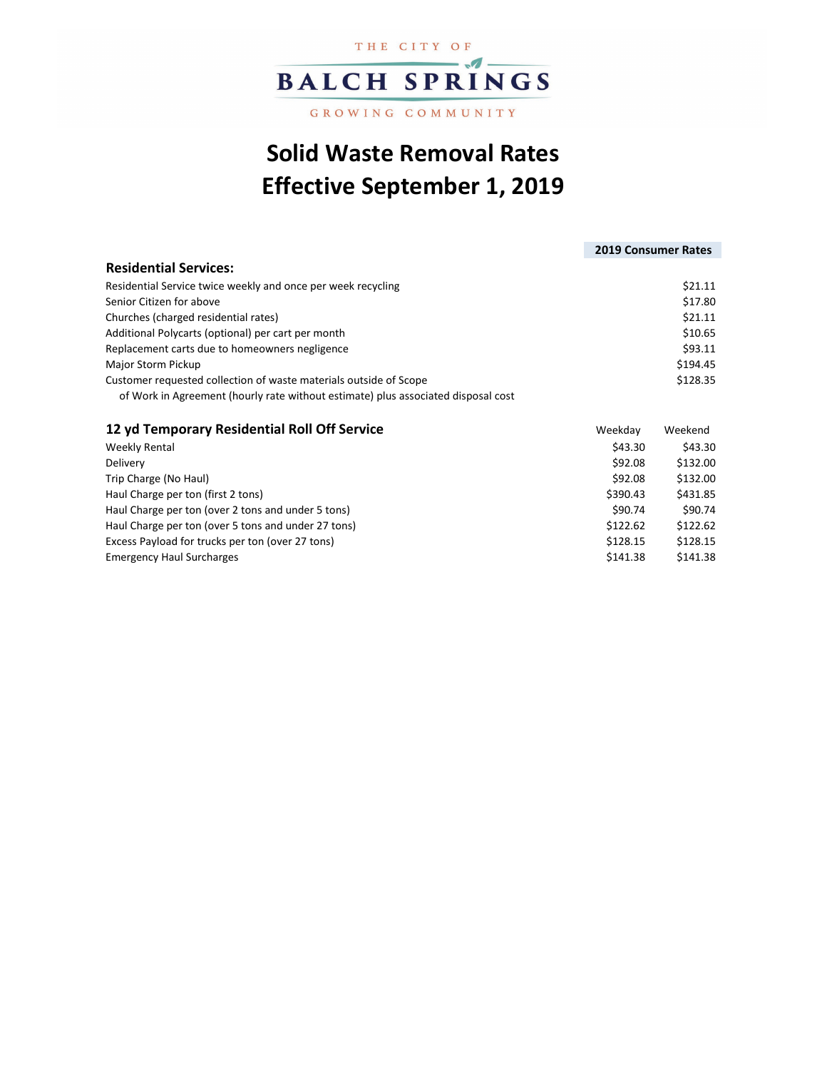

## GROWING COMMUNITY

## **Solid Waste Removal Rates Effective September 1, 2019**

## **Residential Services:** Residential Service twice weekly and once per week recycling  $$21.11$ Senior Citizen for above \$17.80 Churches (charged residential rates) \$21.11 Additional Polycarts (optional) per cart per month  $$10.65$ Replacement carts due to homeowners negligence  $$93.11$ Major Storm Pickup \$194.45 Customer requested collection of waste materials outside of Scope \$128.35 of Work in Agreement (hourly rate without estimate) plus associated disposal cost **2019 Consumer Rates**

| 12 yd Temporary Residential Roll Off Service        | Weekday  | Weekend  |  |
|-----------------------------------------------------|----------|----------|--|
| Weekly Rental                                       | \$43.30  | \$43.30  |  |
| Delivery                                            | \$92.08  | \$132.00 |  |
| Trip Charge (No Haul)                               | \$92.08  | \$132.00 |  |
| Haul Charge per ton (first 2 tons)                  | \$390.43 | \$431.85 |  |
| Haul Charge per ton (over 2 tons and under 5 tons)  | \$90.74  | \$90.74  |  |
| Haul Charge per ton (over 5 tons and under 27 tons) | \$122.62 | \$122.62 |  |
| Excess Payload for trucks per ton (over 27 tons)    | \$128.15 | \$128.15 |  |
| <b>Emergency Haul Surcharges</b>                    | \$141.38 | \$141.38 |  |